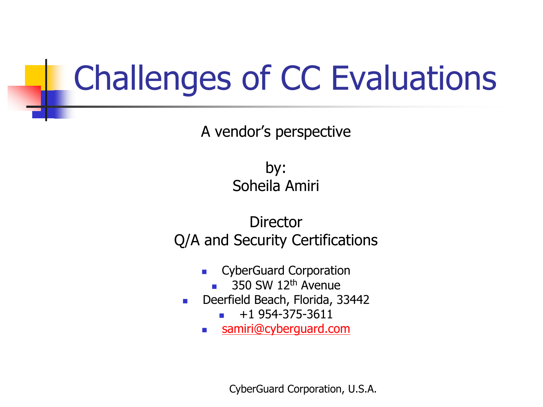# Challenges of CC Evaluations

A vendor's perspective

by: Soheila Amiri

**Director** Q/A and Security Certifications

- CyberGuard Corporation
	- Г 350 SW 12th Avenue
- $\mathcal{L}_{\mathcal{A}}$  Deerfield Beach, Florida, 33442
	- Г +1 954-375-3611
	- **C** samiri@cyberguard.com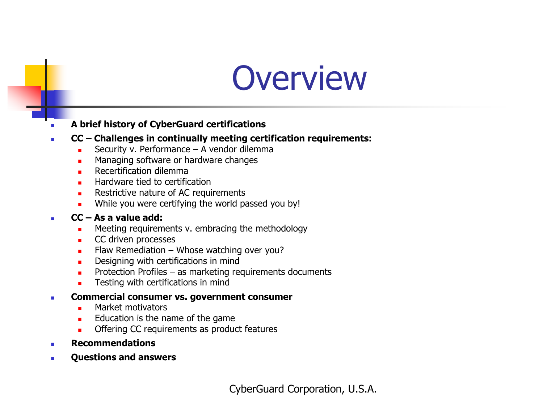### **Overview**

#### г A brief history of CyberGuard certifications

- г CC – Challenges in continually meeting certification requirements:
	- L Security v. Performance – A vendor dilemma
	- г Managing software or hardware changes
	- г Recertification dilemma
	- L Hardware tied to certification
	- $\blacksquare$ Restrictive nature of AC requirements
	- г While you were certifying the world passed you by!

#### г CC – As a value add:

- L Meeting requirements v. embracing the methodology
- г CC driven processes
- г Flaw Remediation – Whose watching over you?
- L Designing with certifications in mind
- г Protection Profiles – as marketing requirements documents
- г Testing with certifications in mind
- $\overline{\phantom{a}}$  Commercial consumer vs. government consumer
	- L Market motivators
	- г Education is the name of the game
	- г Offering CC requirements as product features
- г Recommendations
- $\overline{\phantom{a}}$ Questions and answers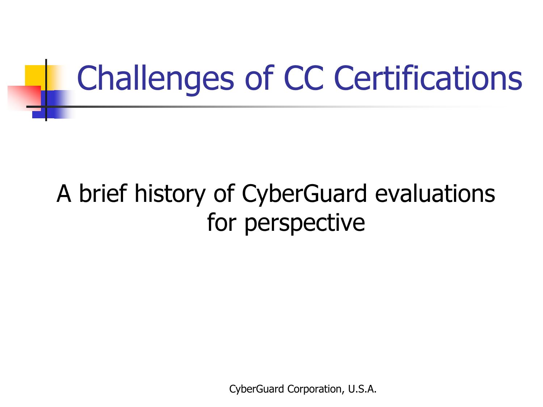

### A brief history of CyberGuard evaluations for perspective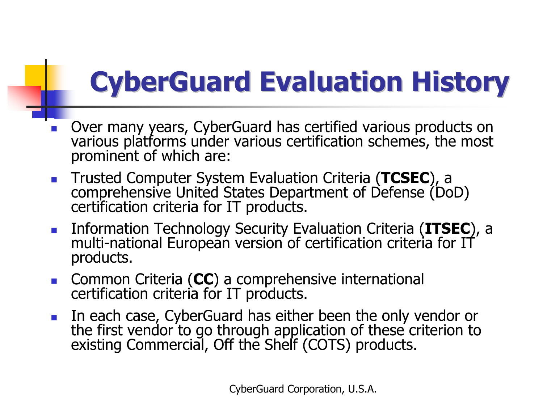### **CyberGuard Evaluation History**

- Over many years, CyberGuard has certified various products on various platforms under various certification schemes, the most prominent of which are:
- **Trusted Computer System Evaluation Criteria (TCSEC), a** comprehensive United States Department of Defense (DoD)<br>certification criteria for IT products.
- **Example:** Information Technology Security Evaluation Criteria (ITSEC), a multi-national European version of certification criteria for IT products.
- Common Criteria (CC) a comprehensive international<br>certification criteria for IT products.
- In each case, CyberGuard has either been the only vendor or the first vendor to go through application of these criterion to existing Commercial, Off the Shelf (COTS) products.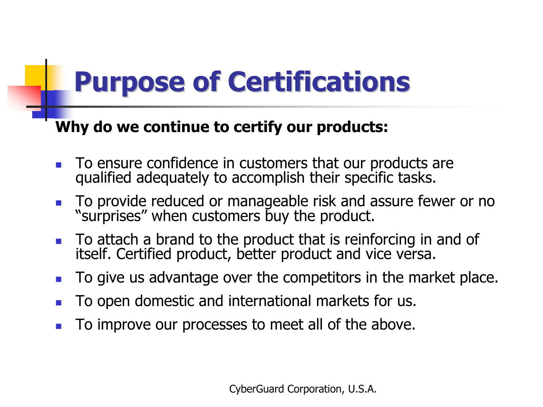### **Purpose of Certifications**

#### Why do we continue to certify our products:

- To ensure confidence in customers that our products are qualified adequately to accomplish their specific tasks.
- To provide reduced or manageable risk and assure fewer or no "surprises" when customers buy the product.
- E To attach a brand to the product that is reinforcing in and of itself. Certified product, better product and vice versa.
- To give us advantage over the competitors in the market place.
- E To open domestic and international markets for us.
- To improve our processes to meet all of the above.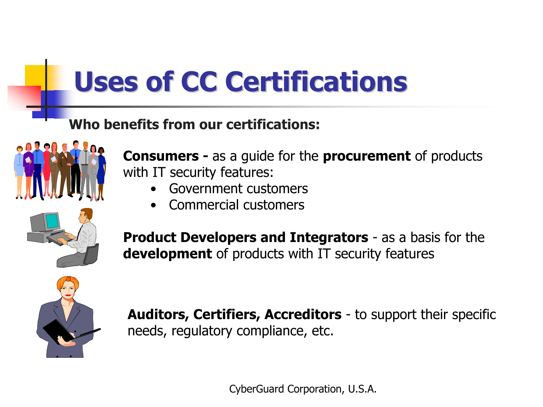### Uses of CC Certifications Uses of CC Certifications

#### Who benefits from our certifications:



**Consumers -** as a guide for the **procurement** of products with IT security features:

- •Government customers
- •Commercial customers

**Product Developers and Integrators - as a basis for the** development of products with IT security features



Auditors, Certifiers, Accreditors - to support their specific needs, regulatory compliance, etc.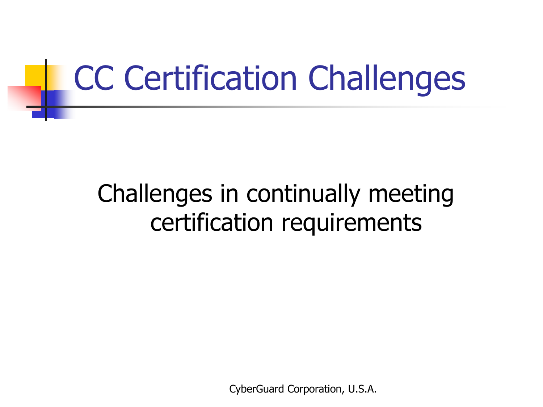# CC Certification Challenges

### Challenges in continually meeting certification requirements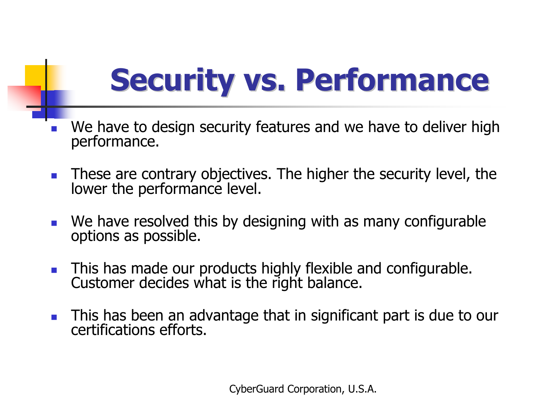### **Security vs. Performance**

- We have to design security features and we have to deliver high performance.
- $\mathcal{L}^{\mathcal{L}}$ These are contrary objectives. The higher the security level, the lower the performance level.
- We have resolved this by designing with as many configurable options as possible.
- This has made our products highly flexible and configurable. Customer decides what is the right balance.
- This has been an advantage that in significant part is due to our certifications efforts.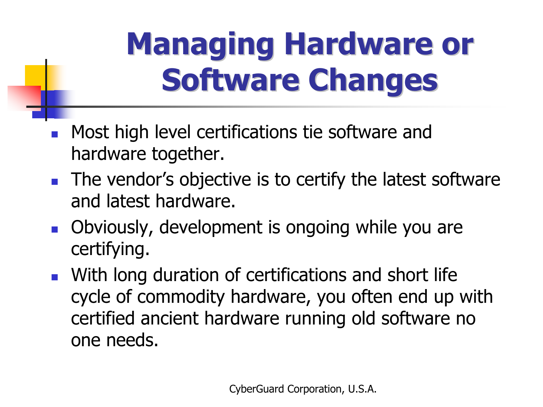### **Managing Hardware or** Software Changes

- F Most high level certifications tie software and hardware together.
- **The vendor's objective is to certify the latest software** and latest hardware.
- **Dian-** Obviously, development is ongoing while you are certifying.
- **Nith long duration of certifications and short life** cycle of commodity hardware, you often end up with certified ancient hardware running old software no one needs.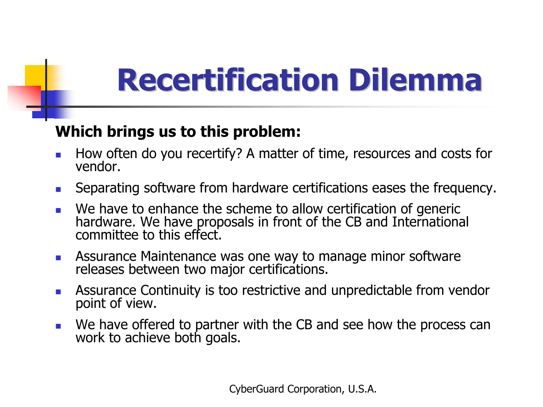### **Recertification Dilemma**

#### Which brings us to this problem:

- $\mathcal{A}$ How often do you recertify? A matter of time, resources and costs for vendor.
- $\mathcal{L}_{\mathrm{eff}}$ Separating software from hardware certifications eases the frequency.
- $\mathcal{L}_{\mathcal{A}}$ We have to enhance the scheme to allow certification of generic hardware. We have proposals in front of the CB and International committee to this effect.
- $\| \cdot \|$ Assurance Maintenance was one way to manage minor software releases between two major certifications.
- $\sim 1$ Assurance Continuity is too restrictive and unpredictable from vendor point of view.
- $\overline{\mathcal{A}}$  We have offered to partner with the CB and see how the process can work to achieve both goals.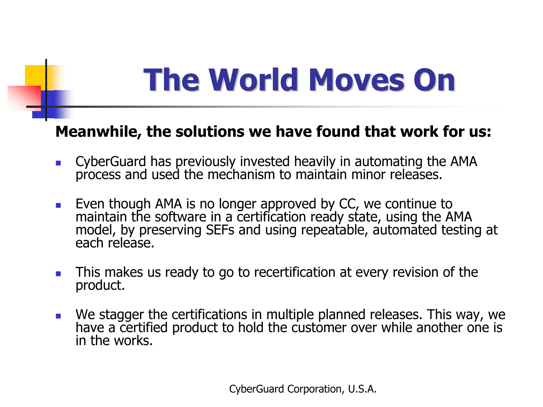### The World Moves On

#### Meanwhile, the solutions we have found that work for us:

- $\sim$ CyberGuard has previously invested heavily in automating the AMA process and used the mechanism to maintain minor releases.
- $\sim 1$ Even though AMA is no longer approved by CC, we continue to maintain the software in a certification ready state, using the AMA model, by preserving SEFs and using repeatable, automated testing at each release.
- $\mathcal{L}_{\mathcal{A}}$ This makes us ready to go to recertification at every revision of the product.
- $\mathcal{L}_{\mathrm{eff}}$ We stagger the certifications in multiple planned releases. This way, we have a certified product to hold the customer over while another one is in the works.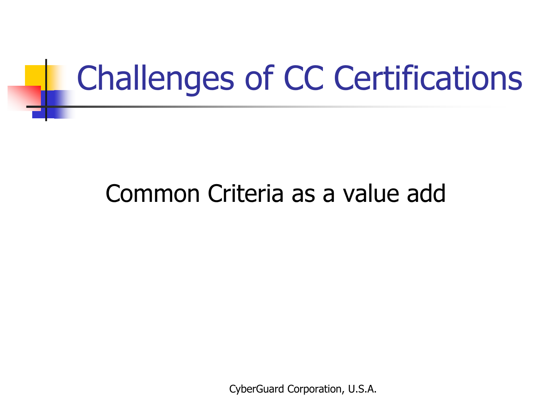

### Common Criteria as a value add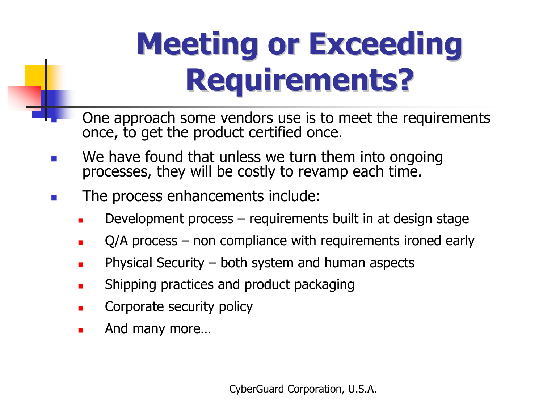### **Meeting or Exceeding** Requirements?

- One approach some vendors use is to meet the requirements once, to get the product certified once.
- We have found that unless we turn them into ongoing processes, they will be costly to revamp each time.
- $\sim 10$  The process enhancements include:
	- П Development process – requirements built in at design stage
	- П Q/A process – non compliance with requirements ironed early
	- П Physical Security – both system and human aspects
	- П Shipping practices and product packaging
	- П Corporate security policy
	- П And many more…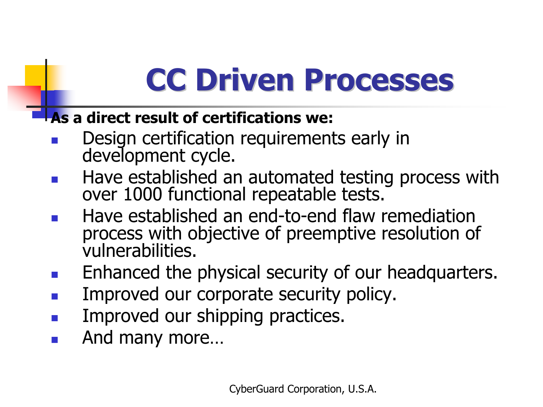### CC Driven Processes

#### **As a direct result of certifications we:**

- F Design certification requirements early in development cycle.
- F Have established an automated testing process with over 1000 functional repeatable tests.
- F Have established an end-to-end flaw remediation process with objective of preemptive resolution of vulnerabilities.
- $\mathcal{C}^{\mathcal{A}}$ Enhanced the physical security of our headquarters.
- $\mathcal{C}^{\mathcal{A}}$ Improved our corporate security policy.
- $\mathcal{C}^{\mathcal{A}}$ Improved our shipping practices.
- $\mathcal{C}^{\mathcal{A}}$ And many more…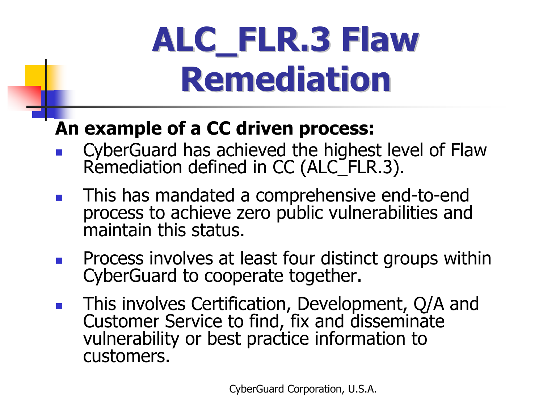# ALC\_FLR.3 Flaw **Remediation**

### An example of a CC driven process:

- F CyberGuard has achieved the highest level of Flaw Remediation defined in CC (ALC\_FLR.3).
- F This has mandated a comprehensive end-to-end process to achieve zero public vulnerabilities and maintain this status.
- $\left\vert \cdot\right\vert$ Process involves at least four distinct groups within CyberGuard to cooperate together.
- F This involves Certification, Development, Q/A and Customer Service to find, fix and disseminate vulnerability or best practice information to customers.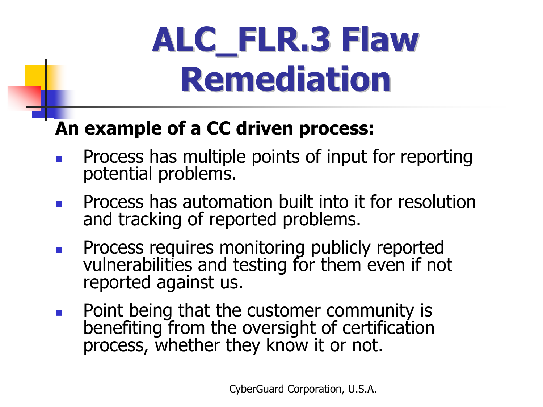# ALC\_FLR.3 Flaw **Remediation**

### An example of a CC driven process:

- F Process has multiple points of input for reporting potential problems.
- $\sim 10$  Process has automation built into it for resolution and tracking of reported problems.
- $\mathcal{L}_{\mathcal{A}}$ Process requires monitoring publicly reported vulnerabilities and testing for them even if not reported against us.
- $\mathcal{L}^{\mathcal{L}}$ Point being that the customer community is benefiting from the oversight of certification process, whether they know it or not.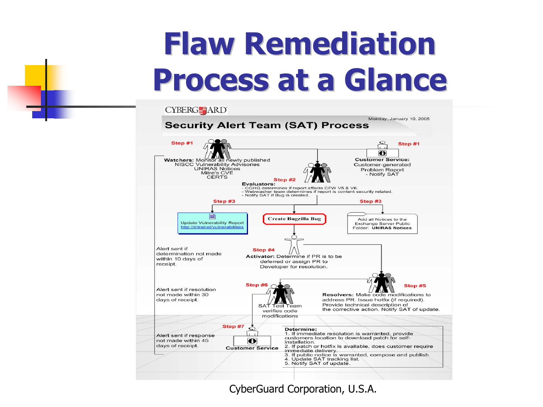### **Flaw Remediation** Process at a Glance

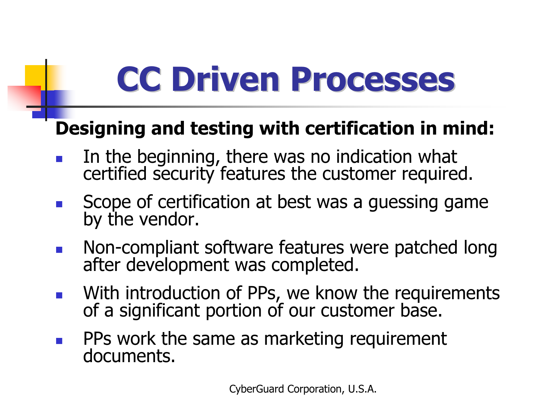## **CC Driven Processes**

### Designing and testing with certification in mind:

- F In the beginning, there was no indication what certified security features the customer required.
- $\| \cdot \|$ Scope of certification at best was a guessing game by the vendor.
- $\mathcal{L}_{\mathcal{A}}$ Non-compliant software features were patched long after development was completed.
- $\mathcal{L}(\mathcal{A})$ With introduction of PPs, we know the requirements of a significant portion of our customer base.
- $\sim$ PPs work the same as marketing requirement documents.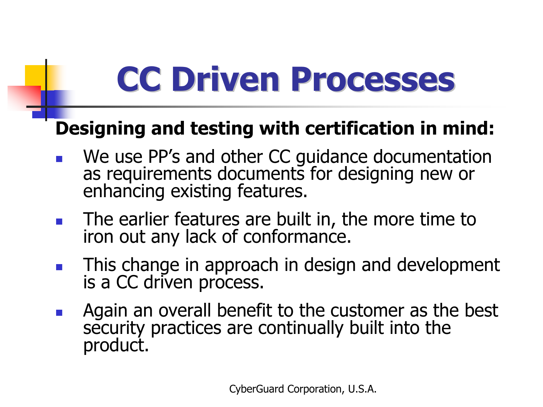## CC Driven Processes

### Designing and testing with certification in mind:

- F We use PP's and other CC guidance documentation<br>as requirements documents for designing new or<br>enhancing existing features.
- $\mathcal{L}_{\mathcal{A}}$  The earlier features are built in, the more time to iron out any lack of conformance.
- This change in approach in design and development is a CC driven process.
- $\left\vert \cdot \right\vert$ Again an overall benefit to the customer as the best security practices are continually built into the product.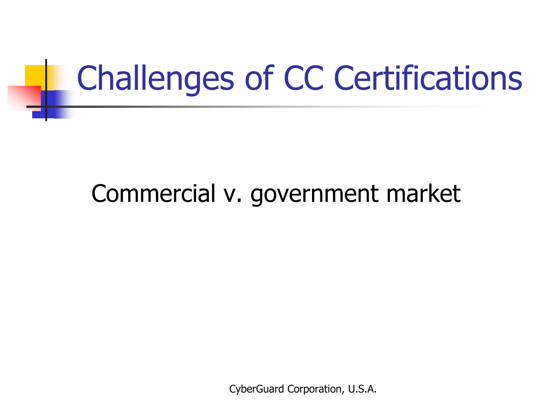

### Commercial v. government market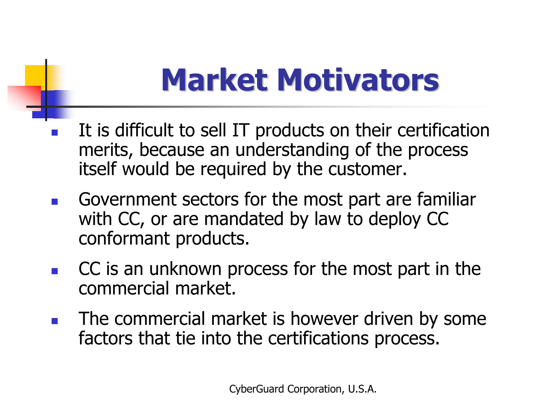### **Market Motivators**

- $\overline{\phantom{a}}$  It is difficult to sell IT products on their certification merits, because an understanding of the process itself would be required by the customer.
- $\mathcal{L}^{\mathcal{A}}$  Government sectors for the most part are familiar with CC, or are mandated by law to deploy CC conformant products.
- **CC** is an unknown process for the most part in the commercial market.
- **The commercial market is however driven by some** factors that tie into the certifications process.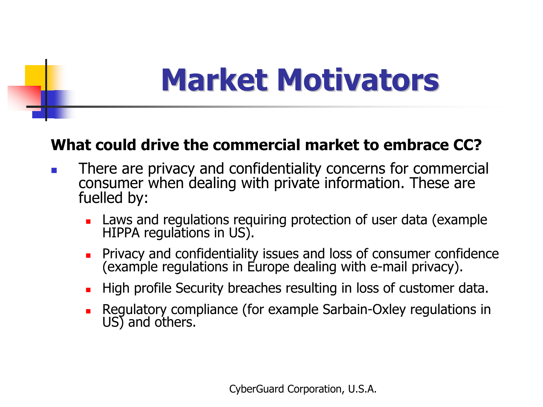### **Market Motivators**

#### What could drive the commercial market to embrace CC?

- $\sim 10$  There are privacy and confidentiality concerns for commercial consumer when dealing with private information. These are fuelled by:
	- Г Laws and regulations requiring protection of user data (example HIPPA regulations in US).
	- Г Privacy and confidentiality issues and loss of consumer confidence (example regulations in Europe dealing with e-mail privacy).
	- Г High profile Security breaches resulting in loss of customer data.
	- Г Regulatory compliance (for example Sarbain-Oxley regulations in US) and others.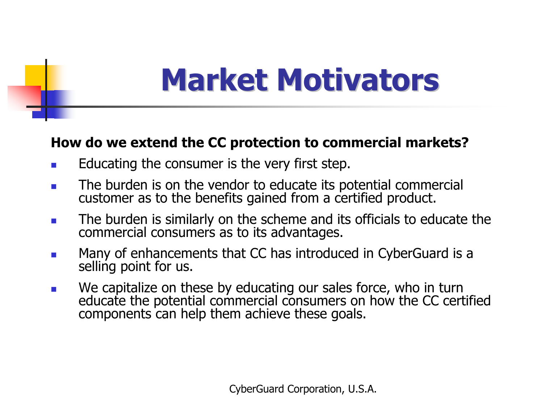### **Market Motivators**

#### How do we extend the CC protection to commercial markets?

- $\sim 10$ Educating the consumer is the very first step.
- $\sim$ The burden is on the vendor to educate its potential commercial customer as to the benefits gained from a certified product.
- $\sim 1$ The burden is similarly on the scheme and its officials to educate the commercial consumers as to its advantages.
- $\sim$ Many of enhancements that CC has introduced in CyberGuard is a selling point for us.
- We capitalize on these by educating our sales force, who in turn educate the potential commercial consumers on how the CC certified components can help them achieve these goals.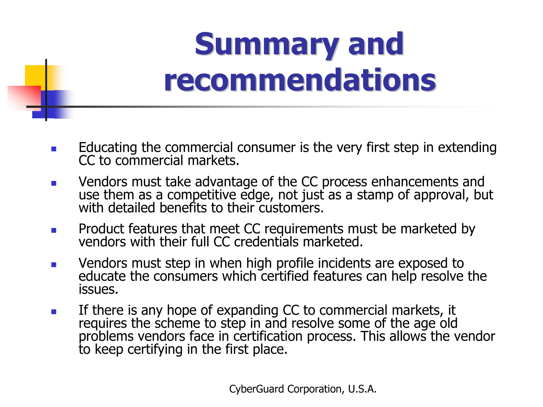### **Summary and** recommendations

- $\mathcal{L}_{\mathcal{A}}$ Educating the commercial consumer is the very first step in extending CC to commercial markets.
- $\mathcal{L}_{\mathcal{A}}$ Vendors must take advantage of the CC process enhancements and use them as a competitive edge, not just as a stamp of approval, but with detailed benefits to their customers.
- $\mathcal{L}^{\text{max}}$ Product features that meet CC requirements must be marketed by vendors with their full CC credentials marketed.
- $\sim 10$  Vendors must step in when high profile incidents are exposed to educate the consumers which certified features can help resolve the issues.
- $\mathbb{R}^n$ If there is any hope of expanding CC to commercial markets, it<br>requires the scheme to step in and resolve some of the age old<br>problems vendors face in certification process. This allows the vendor<br>to keep certifying in the